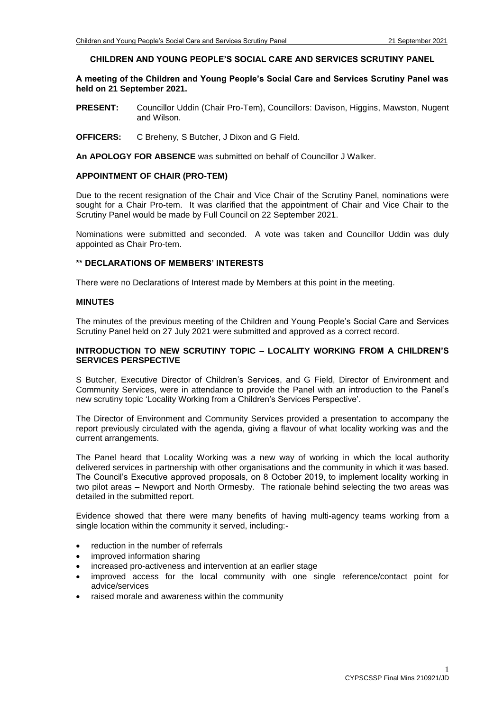#### **CHILDREN AND YOUNG PEOPLE'S SOCIAL CARE AND SERVICES SCRUTINY PANEL**

### **A meeting of the Children and Young People's Social Care and Services Scrutiny Panel was held on 21 September 2021.**

- **PRESENT:** Councillor Uddin (Chair Pro-Tem), Councillors: Davison, Higgins, Mawston, Nugent and Wilson.
- **OFFICERS:** C Breheny, S Butcher, J Dixon and G Field.

**An APOLOGY FOR ABSENCE** was submitted on behalf of Councillor J Walker.

#### **APPOINTMENT OF CHAIR (PRO-TEM)**

Due to the recent resignation of the Chair and Vice Chair of the Scrutiny Panel, nominations were sought for a Chair Pro-tem. It was clarified that the appointment of Chair and Vice Chair to the Scrutiny Panel would be made by Full Council on 22 September 2021.

Nominations were submitted and seconded. A vote was taken and Councillor Uddin was duly appointed as Chair Pro-tem.

#### **\*\* DECLARATIONS OF MEMBERS' INTERESTS**

There were no Declarations of Interest made by Members at this point in the meeting.

#### **MINUTES**

The minutes of the previous meeting of the Children and Young People's Social Care and Services Scrutiny Panel held on 27 July 2021 were submitted and approved as a correct record.

#### **INTRODUCTION TO NEW SCRUTINY TOPIC – LOCALITY WORKING FROM A CHILDREN'S SERVICES PERSPECTIVE**

S Butcher, Executive Director of Children's Services, and G Field, Director of Environment and Community Services, were in attendance to provide the Panel with an introduction to the Panel's new scrutiny topic 'Locality Working from a Children's Services Perspective'.

The Director of Environment and Community Services provided a presentation to accompany the report previously circulated with the agenda, giving a flavour of what locality working was and the current arrangements.

The Panel heard that Locality Working was a new way of working in which the local authority delivered services in partnership with other organisations and the community in which it was based. The Council's Executive approved proposals, on 8 October 2019, to implement locality working in two pilot areas – Newport and North Ormesby. The rationale behind selecting the two areas was detailed in the submitted report.

Evidence showed that there were many benefits of having multi-agency teams working from a single location within the community it served, including:-

- reduction in the number of referrals
- improved information sharing
- increased pro-activeness and intervention at an earlier stage
- improved access for the local community with one single reference/contact point for advice/services
- raised morale and awareness within the community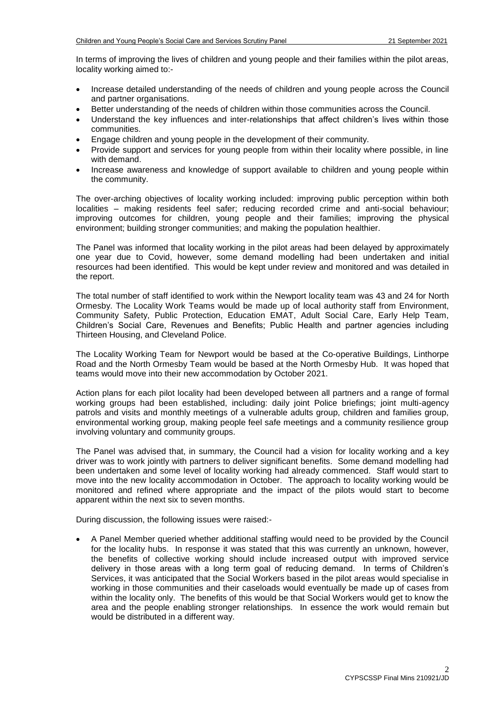In terms of improving the lives of children and young people and their families within the pilot areas, locality working aimed to:-

- Increase detailed understanding of the needs of children and young people across the Council and partner organisations.
- Better understanding of the needs of children within those communities across the Council.
- Understand the key influences and inter-relationships that affect children's lives within those communities.
- Engage children and young people in the development of their community.
- Provide support and services for young people from within their locality where possible, in line with demand.
- Increase awareness and knowledge of support available to children and young people within the community.

The over-arching objectives of locality working included: improving public perception within both localities – making residents feel safer; reducing recorded crime and anti-social behaviour; improving outcomes for children, young people and their families; improving the physical environment; building stronger communities; and making the population healthier.

The Panel was informed that locality working in the pilot areas had been delayed by approximately one year due to Covid, however, some demand modelling had been undertaken and initial resources had been identified. This would be kept under review and monitored and was detailed in the report.

The total number of staff identified to work within the Newport locality team was 43 and 24 for North Ormesby. The Locality Work Teams would be made up of local authority staff from Environment, Community Safety, Public Protection, Education EMAT, Adult Social Care, Early Help Team, Children's Social Care, Revenues and Benefits; Public Health and partner agencies including Thirteen Housing, and Cleveland Police.

The Locality Working Team for Newport would be based at the Co-operative Buildings, Linthorpe Road and the North Ormesby Team would be based at the North Ormesby Hub. It was hoped that teams would move into their new accommodation by October 2021.

Action plans for each pilot locality had been developed between all partners and a range of formal working groups had been established, including: daily joint Police briefings; joint multi-agency patrols and visits and monthly meetings of a vulnerable adults group, children and families group, environmental working group, making people feel safe meetings and a community resilience group involving voluntary and community groups.

The Panel was advised that, in summary, the Council had a vision for locality working and a key driver was to work jointly with partners to deliver significant benefits. Some demand modelling had been undertaken and some level of locality working had already commenced. Staff would start to move into the new locality accommodation in October. The approach to locality working would be monitored and refined where appropriate and the impact of the pilots would start to become apparent within the next six to seven months.

During discussion, the following issues were raised:-

 A Panel Member queried whether additional staffing would need to be provided by the Council for the locality hubs. In response it was stated that this was currently an unknown, however, the benefits of collective working should include increased output with improved service delivery in those areas with a long term goal of reducing demand. In terms of Children's Services, it was anticipated that the Social Workers based in the pilot areas would specialise in working in those communities and their caseloads would eventually be made up of cases from within the locality only. The benefits of this would be that Social Workers would get to know the area and the people enabling stronger relationships. In essence the work would remain but would be distributed in a different way.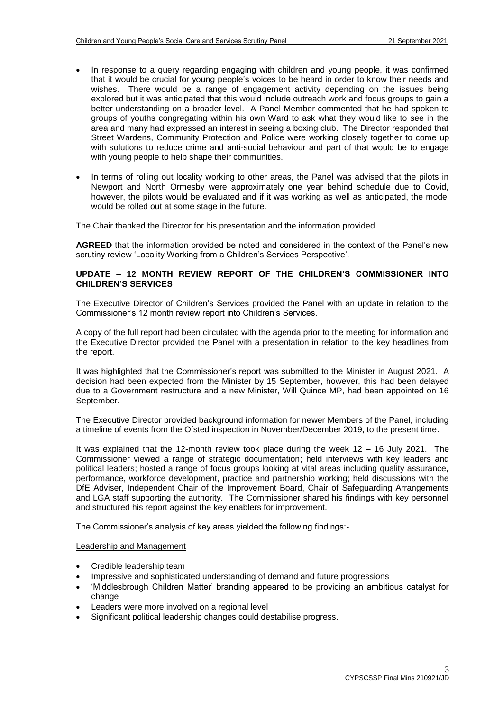- In response to a query regarding engaging with children and young people, it was confirmed that it would be crucial for young people's voices to be heard in order to know their needs and wishes. There would be a range of engagement activity depending on the issues being explored but it was anticipated that this would include outreach work and focus groups to gain a better understanding on a broader level. A Panel Member commented that he had spoken to groups of youths congregating within his own Ward to ask what they would like to see in the area and many had expressed an interest in seeing a boxing club. The Director responded that Street Wardens, Community Protection and Police were working closely together to come up with solutions to reduce crime and anti-social behaviour and part of that would be to engage with young people to help shape their communities.
- In terms of rolling out locality working to other areas, the Panel was advised that the pilots in Newport and North Ormesby were approximately one year behind schedule due to Covid, however, the pilots would be evaluated and if it was working as well as anticipated, the model would be rolled out at some stage in the future.

The Chair thanked the Director for his presentation and the information provided.

**AGREED** that the information provided be noted and considered in the context of the Panel's new scrutiny review 'Locality Working from a Children's Services Perspective'.

### **UPDATE – 12 MONTH REVIEW REPORT OF THE CHILDREN'S COMMISSIONER INTO CHILDREN'S SERVICES**

The Executive Director of Children's Services provided the Panel with an update in relation to the Commissioner's 12 month review report into Children's Services.

A copy of the full report had been circulated with the agenda prior to the meeting for information and the Executive Director provided the Panel with a presentation in relation to the key headlines from the report.

It was highlighted that the Commissioner's report was submitted to the Minister in August 2021. A decision had been expected from the Minister by 15 September, however, this had been delayed due to a Government restructure and a new Minister, Will Quince MP, had been appointed on 16 September.

The Executive Director provided background information for newer Members of the Panel, including a timeline of events from the Ofsted inspection in November/December 2019, to the present time.

It was explained that the 12-month review took place during the week 12 – 16 July 2021. The Commissioner viewed a range of strategic documentation; held interviews with key leaders and political leaders; hosted a range of focus groups looking at vital areas including quality assurance, performance, workforce development, practice and partnership working; held discussions with the DfE Adviser, Independent Chair of the Improvement Board, Chair of Safeguarding Arrangements and LGA staff supporting the authority. The Commissioner shared his findings with key personnel and structured his report against the key enablers for improvement.

The Commissioner's analysis of key areas yielded the following findings:-

#### Leadership and Management

- Credible leadership team
- Impressive and sophisticated understanding of demand and future progressions
- 'Middlesbrough Children Matter' branding appeared to be providing an ambitious catalyst for change
- Leaders were more involved on a regional level
- Significant political leadership changes could destabilise progress.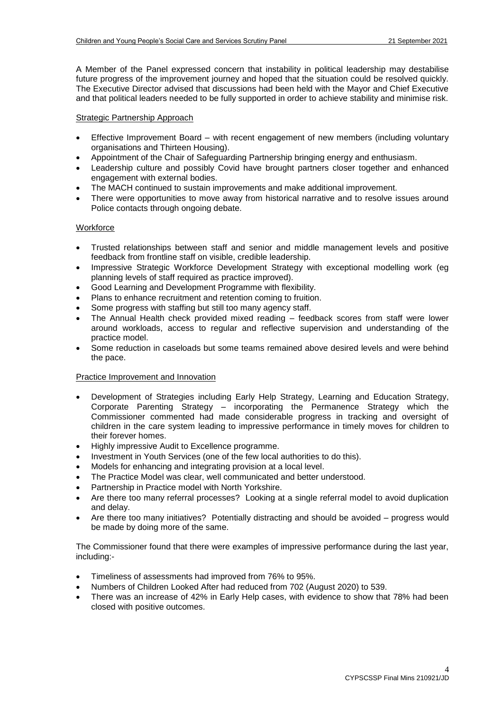A Member of the Panel expressed concern that instability in political leadership may destabilise future progress of the improvement journey and hoped that the situation could be resolved quickly. The Executive Director advised that discussions had been held with the Mayor and Chief Executive and that political leaders needed to be fully supported in order to achieve stability and minimise risk.

### Strategic Partnership Approach

- Effective Improvement Board with recent engagement of new members (including voluntary organisations and Thirteen Housing).
- Appointment of the Chair of Safeguarding Partnership bringing energy and enthusiasm.
- Leadership culture and possibly Covid have brought partners closer together and enhanced engagement with external bodies.
- The MACH continued to sustain improvements and make additional improvement.
- There were opportunities to move away from historical narrative and to resolve issues around Police contacts through ongoing debate.

# **Workforce**

- Trusted relationships between staff and senior and middle management levels and positive feedback from frontline staff on visible, credible leadership.
- Impressive Strategic Workforce Development Strategy with exceptional modelling work (eg planning levels of staff required as practice improved).
- Good Learning and Development Programme with flexibility.
- Plans to enhance recruitment and retention coming to fruition.
- Some progress with staffing but still too many agency staff.
- The Annual Health check provided mixed reading feedback scores from staff were lower around workloads, access to regular and reflective supervision and understanding of the practice model.
- Some reduction in caseloads but some teams remained above desired levels and were behind the pace.

# Practice Improvement and Innovation

- Development of Strategies including Early Help Strategy, Learning and Education Strategy, Corporate Parenting Strategy – incorporating the Permanence Strategy which the Commissioner commented had made considerable progress in tracking and oversight of children in the care system leading to impressive performance in timely moves for children to their forever homes.
- Highly impressive Audit to Excellence programme.
- Investment in Youth Services (one of the few local authorities to do this).
- Models for enhancing and integrating provision at a local level.
- The Practice Model was clear, well communicated and better understood.
- Partnership in Practice model with North Yorkshire.
- Are there too many referral processes? Looking at a single referral model to avoid duplication and delay.
- Are there too many initiatives? Potentially distracting and should be avoided progress would be made by doing more of the same.

The Commissioner found that there were examples of impressive performance during the last year, including:-

- Timeliness of assessments had improved from 76% to 95%.
- Numbers of Children Looked After had reduced from 702 (August 2020) to 539.
- There was an increase of 42% in Early Help cases, with evidence to show that 78% had been closed with positive outcomes.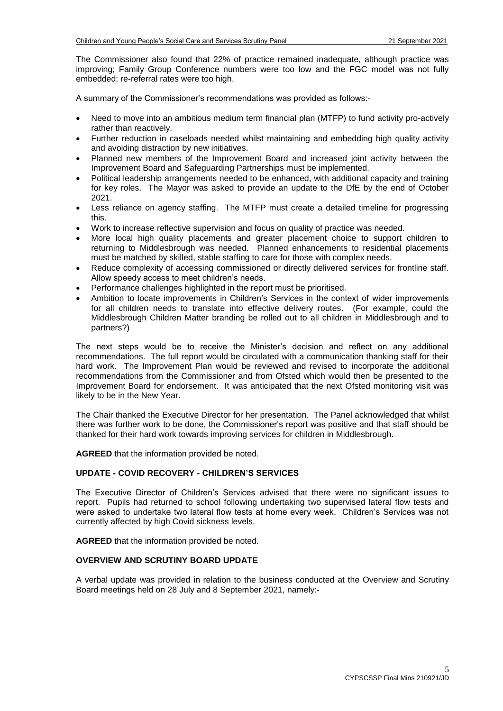The Commissioner also found that 22% of practice remained inadequate, although practice was improving; Family Group Conference numbers were too low and the FGC model was not fully embedded; re-referral rates were too high.

A summary of the Commissioner's recommendations was provided as follows:-

- Need to move into an ambitious medium term financial plan (MTFP) to fund activity pro-actively rather than reactively.
- Further reduction in caseloads needed whilst maintaining and embedding high quality activity and avoiding distraction by new initiatives.
- Planned new members of the Improvement Board and increased joint activity between the Improvement Board and Safeguarding Partnerships must be implemented.
- Political leadership arrangements needed to be enhanced, with additional capacity and training for key roles. The Mayor was asked to provide an update to the DfE by the end of October 2021.
- Less reliance on agency staffing. The MTFP must create a detailed timeline for progressing this.
- Work to increase reflective supervision and focus on quality of practice was needed.
- More local high quality placements and greater placement choice to support children to returning to Middlesbrough was needed. Planned enhancements to residential placements must be matched by skilled, stable staffing to care for those with complex needs.
- Reduce complexity of accessing commissioned or directly delivered services for frontline staff. Allow speedy access to meet children's needs.
- Performance challenges highlighted in the report must be prioritised.
- Ambition to locate improvements in Children's Services in the context of wider improvements for all children needs to translate into effective delivery routes. (For example, could the Middlesbrough Children Matter branding be rolled out to all children in Middlesbrough and to partners?)

The next steps would be to receive the Minister's decision and reflect on any additional recommendations. The full report would be circulated with a communication thanking staff for their hard work. The Improvement Plan would be reviewed and revised to incorporate the additional recommendations from the Commissioner and from Ofsted which would then be presented to the Improvement Board for endorsement. It was anticipated that the next Ofsted monitoring visit was likely to be in the New Year.

The Chair thanked the Executive Director for her presentation. The Panel acknowledged that whilst there was further work to be done, the Commissioner's report was positive and that staff should be thanked for their hard work towards improving services for children in Middlesbrough.

**AGREED** that the information provided be noted.

#### **UPDATE - COVID RECOVERY - CHILDREN'S SERVICES**

The Executive Director of Children's Services advised that there were no significant issues to report. Pupils had returned to school following undertaking two supervised lateral flow tests and were asked to undertake two lateral flow tests at home every week. Children's Services was not currently affected by high Covid sickness levels.

**AGREED** that the information provided be noted.

## **OVERVIEW AND SCRUTINY BOARD UPDATE**

A verbal update was provided in relation to the business conducted at the Overview and Scrutiny Board meetings held on 28 July and 8 September 2021, namely:-